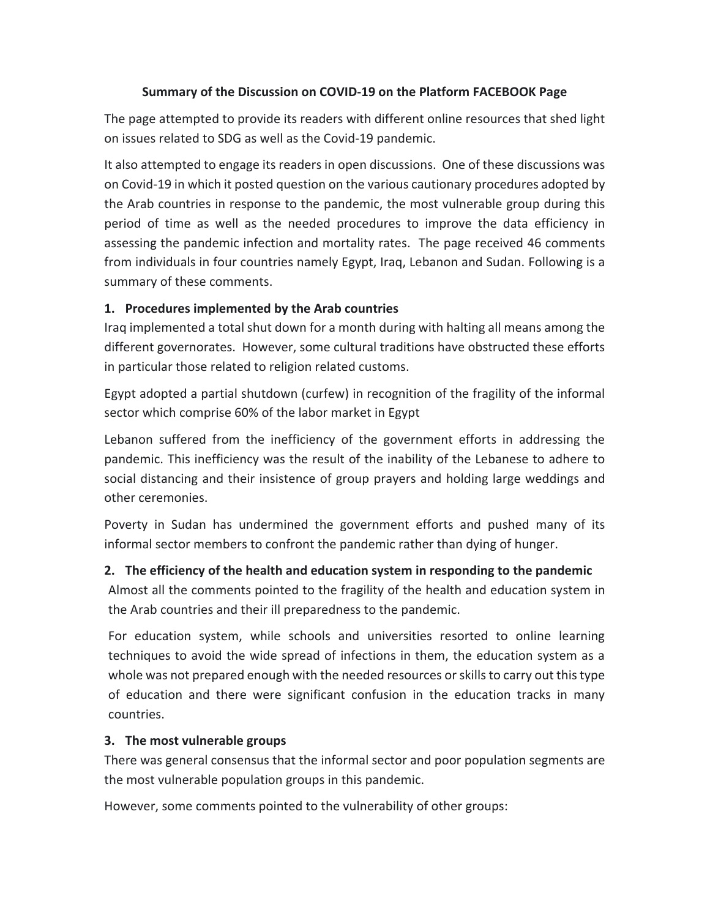## **Summary of the Discussion on COVID-19 on the Platform FACEBOOK Page**

The page attempted to provide its readers with different online resources that shed light on issues related to SDG as well as the Covid-19 pandemic.

It also attempted to engage its readers in open discussions. One of these discussions was on Covid-19 in which it posted question on the various cautionary procedures adopted by the Arab countries in response to the pandemic, the most vulnerable group during this period of time as well as the needed procedures to improve the data efficiency in assessing the pandemic infection and mortality rates. The page received 46 comments from individuals in four countries namely Egypt, Iraq, Lebanon and Sudan. Following is a summary of these comments.

## **1. Procedures implemented by the Arab countries**

Iraq implemented a total shut down for a month during with halting all means among the different governorates. However, some cultural traditions have obstructed these efforts in particular those related to religion related customs.

Egypt adopted a partial shutdown (curfew) in recognition of the fragility of the informal sector which comprise 60% of the labor market in Egypt

Lebanon suffered from the inefficiency of the government efforts in addressing the pandemic. This inefficiency was the result of the inability of the Lebanese to adhere to social distancing and their insistence of group prayers and holding large weddings and other ceremonies.

Poverty in Sudan has undermined the government efforts and pushed many of its informal sector members to confront the pandemic rather than dying of hunger.

## **2. The efficiency of the health and education system in responding to the pandemic**

Almost all the comments pointed to the fragility of the health and education system in the Arab countries and their ill preparedness to the pandemic.

For education system, while schools and universities resorted to online learning techniques to avoid the wide spread of infections in them, the education system as a whole was not prepared enough with the needed resources or skills to carry out this type of education and there were significant confusion in the education tracks in many countries.

## **3. The most vulnerable groups**

There was general consensus that the informal sector and poor population segments are the most vulnerable population groups in this pandemic.

However, some comments pointed to the vulnerability of other groups: